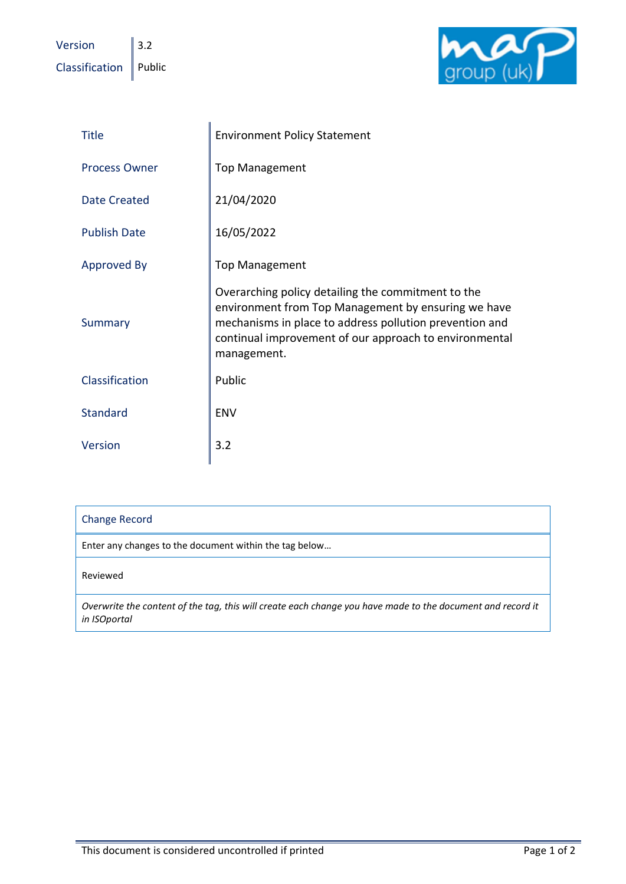Version  $\|$  3.2  $\Box$ Classification  $\parallel$  Public



| <b>Title</b>         | <b>Environment Policy Statement</b>                                                                                                                                                                                                           |
|----------------------|-----------------------------------------------------------------------------------------------------------------------------------------------------------------------------------------------------------------------------------------------|
| <b>Process Owner</b> | <b>Top Management</b>                                                                                                                                                                                                                         |
| <b>Date Created</b>  | 21/04/2020                                                                                                                                                                                                                                    |
| <b>Publish Date</b>  | 16/05/2022                                                                                                                                                                                                                                    |
| <b>Approved By</b>   | <b>Top Management</b>                                                                                                                                                                                                                         |
| Summary              | Overarching policy detailing the commitment to the<br>environment from Top Management by ensuring we have<br>mechanisms in place to address pollution prevention and<br>continual improvement of our approach to environmental<br>management. |
| Classification       | Public                                                                                                                                                                                                                                        |
| <b>Standard</b>      | <b>ENV</b>                                                                                                                                                                                                                                    |
| Version              | 3.2                                                                                                                                                                                                                                           |

| <b>Change Record</b>                                                                                                       |  |
|----------------------------------------------------------------------------------------------------------------------------|--|
| Enter any changes to the document within the tag below                                                                     |  |
| Reviewed                                                                                                                   |  |
| Overwrite the content of the tag, this will create each change you have made to the document and record it<br>in ISOportal |  |